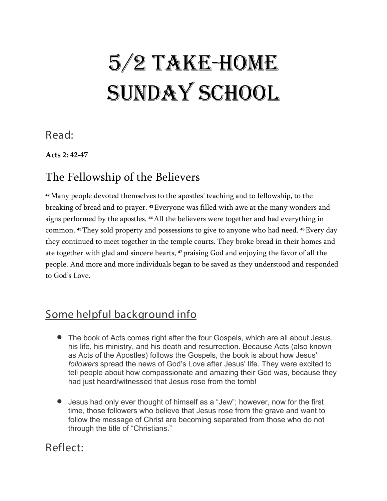## 5/2 Take-Home SUNDAY SCHOOL

Read:

**Acts 2: 42-47**

#### The Fellowship of the Believers

**<sup>42</sup>**Many people devoted themselves to the apostles' teaching and to fellowship, to the breaking of bread and to prayer. **<sup>43</sup>**Everyone was filled with awe at the many wonders and signs performed by the apostles. **<sup>44</sup>**All the believers were together and had everything in common. **<sup>45</sup>**They sold property and possessions to give to anyone who had need. **<sup>46</sup>**Every day they continued to meet together in the temple courts. They broke bread in their homes and ate together with glad and sincere hearts, **<sup>47</sup>** praising God and enjoying the favor of all the people. And more and more individuals began to be saved as they understood and responded to God's Love.

### Some helpful background info

- The book of Acts comes right after the four Gospels, which are all about Jesus, his life, his ministry, and his death and resurrection. Because Acts (also known as Acts of the Apostles) follows the Gospels, the book is about how Jesus' *followers* spread the news of God's Love after Jesus' life. They were excited to tell people about how compassionate and amazing their God was, because they had just heard/witnessed that Jesus rose from the tomb!
- Jesus had only ever thought of himself as a "Jew"; however, now for the first time, those followers who believe that Jesus rose from the grave and want to follow the message of Christ are becoming separated from those who do not through the title of "Christians."

#### Reflect: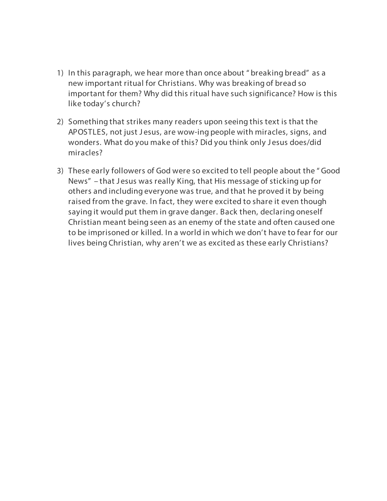- 1) In this paragraph, we hear more than once about " breaking bread" as a new important ritual for Christians. Why was breaking of bread so important for them? Why did this ritual have such significance? How is this like today's church?
- 2) Something that strikes many readers upon seeing this text is that the APOSTLES, not just Jesus, are wow-ing people with miracles, signs, and wonders. What do you make of this? Did you think only J esus does/did miracles?
- 3) These early followers of God were so excited to tell people about the " Good News" – that Jesus was really King, that His message of sticking up for others and including everyone was true, and that he proved it by being raised from the grave. In fact, they were excited to share it even though saying it would put them in grave danger. Back then, declaring oneself Christian meant being seen as an enemy of the state and often caused one to be imprisoned or killed. In a world in which we don't have to fear for our lives being Christian, why aren't we as excited as these early Christians?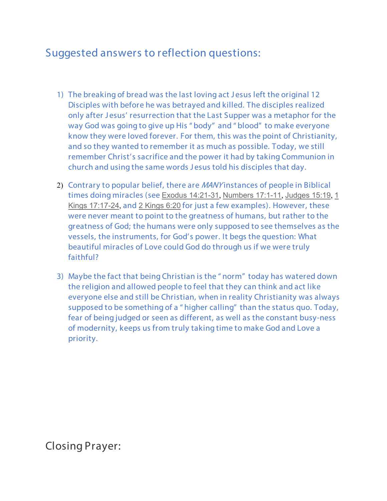#### Suggested answers to reflection questions:

- 1) The breaking of bread was the last loving act J esus left the original 12 Disciples with before he was betrayed and killed. The disciples realized only after J esus' resurrection that the Last Supper was a metaphor for the way God was going to give up His " body" and " blood" to make everyone know they were loved forever. For them, this was the point of Christianity, and so they wanted to remember it as much as possible. Today, we still remember Christ's sacrifice and the power it had by taking Communion in church and using the same words J esus told his disciples that day.
- 2) Contrary to popular belief, there are *MANY* instances of people in Biblical times doing miracles (see [Exodus 14:21-31](https://christiananswers.net/bible/exo14.html#21), [Numbers 17:1-11](https://christiananswers.net/bible/num17.html#8), [Judges 15:19](https://christiananswers.net/bible/judg15.html#19), [1](https://christiananswers.net/bible/1ki17.html#17)  [Kings 17:17-24](https://christiananswers.net/bible/1ki17.html#17), and [2 Kings 6:20](https://christiananswers.net/bible/2ki6.html#20) for just a few examples). However, these were never meant to point to the greatness of humans, but rather to the greatness of God; the humans were only supposed to see themselves as the vessels, the instruments, for God's power. It begs the question: What beautiful miracles of Love could God do through us if we were truly faithful?
- 3) Maybe the fact that being Christian is the " norm" today has watered down the religion and allowed people to feel that they can think and act like everyone else and still be Christian, when in reality Christianity was always supposed to be something of a " higher calling" than the status quo. Today, fear of being judged or seen as different, as well as the constant busy-ness of modernity, keeps us from truly taking time to make God and Love a priority.

Closing Prayer: